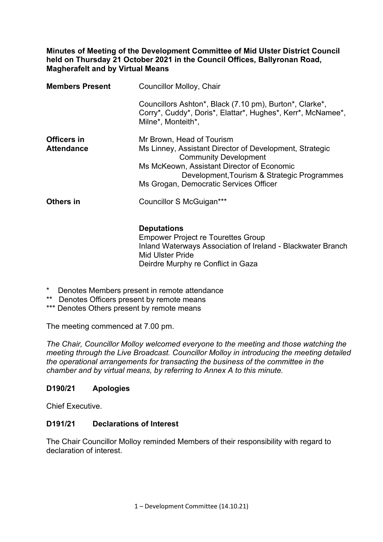#### **Minutes of Meeting of the Development Committee of Mid Ulster District Council held on Thursday 21 October 2021 in the Council Offices, Ballyronan Road, Magherafelt and by Virtual Means**

| <b>Members Present</b>           | Councillor Molloy, Chair                                                                                                                                                                                                                                    |
|----------------------------------|-------------------------------------------------------------------------------------------------------------------------------------------------------------------------------------------------------------------------------------------------------------|
|                                  | Councillors Ashton*, Black (7.10 pm), Burton*, Clarke*,<br>Corry*, Cuddy*, Doris*, Elattar*, Hughes*, Kerr*, McNamee*,<br>Milne*, Monteith*,                                                                                                                |
| Officers in<br><b>Attendance</b> | Mr Brown, Head of Tourism<br>Ms Linney, Assistant Director of Development, Strategic<br><b>Community Development</b><br>Ms McKeown, Assistant Director of Economic<br>Development, Tourism & Strategic Programmes<br>Ms Grogan, Democratic Services Officer |
| Others in                        | Councillor S McGuigan***                                                                                                                                                                                                                                    |

#### **Deputations**

 Empower Project re Tourettes Group Inland Waterways Association of Ireland - Blackwater Branch Mid Ulster Pride Deirdre Murphy re Conflict in Gaza

- \* Denotes Members present in remote attendance
- \*\* Denotes Officers present by remote means
- \*\*\* Denotes Others present by remote means

The meeting commenced at 7.00 pm.

*The Chair, Councillor Molloy welcomed everyone to the meeting and those watching the meeting through the Live Broadcast. Councillor Molloy in introducing the meeting detailed the operational arrangements for transacting the business of the committee in the chamber and by virtual means, by referring to Annex A to this minute.* 

### **D190/21 Apologies**

Chief Executive.

#### **D191/21 Declarations of Interest**

The Chair Councillor Molloy reminded Members of their responsibility with regard to declaration of interest.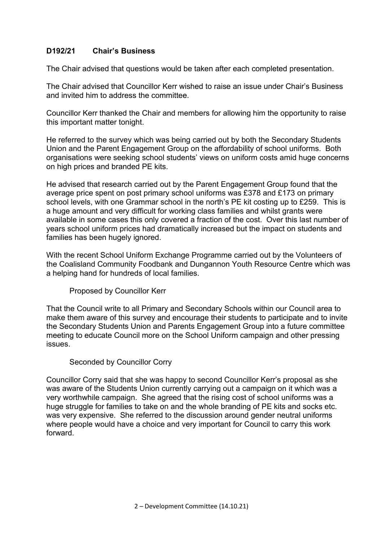### **D192/21 Chair's Business**

The Chair advised that questions would be taken after each completed presentation.

The Chair advised that Councillor Kerr wished to raise an issue under Chair's Business and invited him to address the committee.

Councillor Kerr thanked the Chair and members for allowing him the opportunity to raise this important matter tonight.

He referred to the survey which was being carried out by both the Secondary Students Union and the Parent Engagement Group on the affordability of school uniforms. Both organisations were seeking school students' views on uniform costs amid huge concerns on high prices and branded PE kits.

He advised that research carried out by the Parent Engagement Group found that the average price spent on post primary school uniforms was £378 and £173 on primary school levels, with one Grammar school in the north's PE kit costing up to £259. This is a huge amount and very difficult for working class families and whilst grants were available in some cases this only covered a fraction of the cost. Over this last number of years school uniform prices had dramatically increased but the impact on students and families has been hugely ignored.

With the recent School Uniform Exchange Programme carried out by the Volunteers of the Coalisland Community Foodbank and Dungannon Youth Resource Centre which was a helping hand for hundreds of local families.

Proposed by Councillor Kerr

That the Council write to all Primary and Secondary Schools within our Council area to make them aware of this survey and encourage their students to participate and to invite the Secondary Students Union and Parents Engagement Group into a future committee meeting to educate Council more on the School Uniform campaign and other pressing issues.

#### Seconded by Councillor Corry

Councillor Corry said that she was happy to second Councillor Kerr's proposal as she was aware of the Students Union currently carrying out a campaign on it which was a very worthwhile campaign. She agreed that the rising cost of school uniforms was a huge struggle for families to take on and the whole branding of PE kits and socks etc. was very expensive. She referred to the discussion around gender neutral uniforms where people would have a choice and very important for Council to carry this work forward.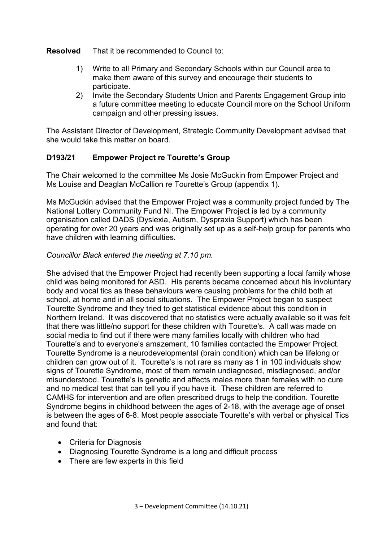#### **Resolved** That it be recommended to Council to:

- 1) Write to all Primary and Secondary Schools within our Council area to make them aware of this survey and encourage their students to participate.
- 2) Invite the Secondary Students Union and Parents Engagement Group into a future committee meeting to educate Council more on the School Uniform campaign and other pressing issues.

The Assistant Director of Development, Strategic Community Development advised that she would take this matter on board.

### **D193/21 Empower Project re Tourette's Group**

The Chair welcomed to the committee Ms Josie McGuckin from Empower Project and Ms Louise and Deaglan McCallion re Tourette's Group (appendix 1).

Ms McGuckin advised that the Empower Project was a community project funded by The National Lottery Community Fund NI. The Empower Project is led by a community organisation called DADS (Dyslexia, Autism, Dyspraxia Support) which has been operating for over 20 years and was originally set up as a self-help group for parents who have children with learning difficulties.

### *Councillor Black entered the meeting at 7.10 pm.*

She advised that the Empower Project had recently been supporting a local family whose child was being monitored for ASD. His parents became concerned about his involuntary body and vocal tics as these behaviours were causing problems for the child both at school, at home and in all social situations. The Empower Project began to suspect Tourette Syndrome and they tried to get statistical evidence about this condition in Northern Ireland. It was discovered that no statistics were actually available so it was felt that there was little/no support for these children with Tourette's. A call was made on social media to find out if there were many families locally with children who had Tourette's and to everyone's amazement, 10 families contacted the Empower Project. Tourette Syndrome is a neurodevelopmental (brain condition) which can be lifelong or children can grow out of it. Tourette's is not rare as many as 1 in 100 individuals show signs of Tourette Syndrome, most of them remain undiagnosed, misdiagnosed, and/or misunderstood. Tourette's is genetic and affects males more than females with no cure and no medical test that can tell you if you have it. These children are referred to CAMHS for intervention and are often prescribed drugs to help the condition. Tourette Syndrome begins in childhood between the ages of 2-18, with the average age of onset is between the ages of 6-8. Most people associate Tourette's with verbal or physical Tics and found that:

- Criteria for Diagnosis
- Diagnosing Tourette Syndrome is a long and difficult process
- There are few experts in this field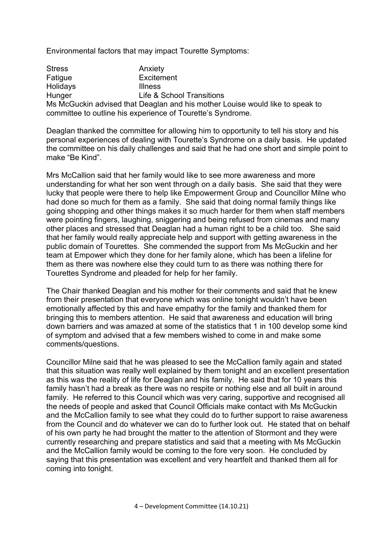Environmental factors that may impact Tourette Symptoms:

Stress **Anxiety** Fatigue **Excitement** Holidays **Illness** Hunger Life & School Transitions Ms McGuckin advised that Deaglan and his mother Louise would like to speak to committee to outline his experience of Tourette's Syndrome.

Deaglan thanked the committee for allowing him to opportunity to tell his story and his personal experiences of dealing with Tourette's Syndrome on a daily basis. He updated the committee on his daily challenges and said that he had one short and simple point to make "Be Kind".

Mrs McCallion said that her family would like to see more awareness and more understanding for what her son went through on a daily basis. She said that they were lucky that people were there to help like Empowerment Group and Councillor Milne who had done so much for them as a family. She said that doing normal family things like going shopping and other things makes it so much harder for them when staff members were pointing fingers, laughing, sniggering and being refused from cinemas and many other places and stressed that Deaglan had a human right to be a child too. She said that her family would really appreciate help and support with getting awareness in the public domain of Tourettes. She commended the support from Ms McGuckin and her team at Empower which they done for her family alone, which has been a lifeline for them as there was nowhere else they could turn to as there was nothing there for Tourettes Syndrome and pleaded for help for her family.

The Chair thanked Deaglan and his mother for their comments and said that he knew from their presentation that everyone which was online tonight wouldn't have been emotionally affected by this and have empathy for the family and thanked them for bringing this to members attention. He said that awareness and education will bring down barriers and was amazed at some of the statistics that 1 in 100 develop some kind of symptom and advised that a few members wished to come in and make some comments/questions.

Councillor Milne said that he was pleased to see the McCallion family again and stated that this situation was really well explained by them tonight and an excellent presentation as this was the reality of life for Deaglan and his family. He said that for 10 years this family hasn't had a break as there was no respite or nothing else and all built in around family. He referred to this Council which was very caring, supportive and recognised all the needs of people and asked that Council Officials make contact with Ms McGuckin and the McCallion family to see what they could do to further support to raise awareness from the Council and do whatever we can do to further look out. He stated that on behalf of his own party he had brought the matter to the attention of Stormont and they were currently researching and prepare statistics and said that a meeting with Ms McGuckin and the McCallion family would be coming to the fore very soon. He concluded by saying that this presentation was excellent and very heartfelt and thanked them all for coming into tonight.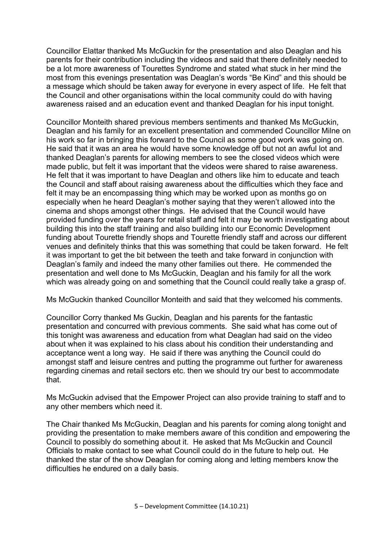Councillor Elattar thanked Ms McGuckin for the presentation and also Deaglan and his parents for their contribution including the videos and said that there definitely needed to be a lot more awareness of Tourettes Syndrome and stated what stuck in her mind the most from this evenings presentation was Deaglan's words "Be Kind" and this should be a message which should be taken away for everyone in every aspect of life. He felt that the Council and other organisations within the local community could do with having awareness raised and an education event and thanked Deaglan for his input tonight.

Councillor Monteith shared previous members sentiments and thanked Ms McGuckin, Deaglan and his family for an excellent presentation and commended Councillor Milne on his work so far in bringing this forward to the Council as some good work was going on. He said that it was an area he would have some knowledge off but not an awful lot and thanked Deaglan's parents for allowing members to see the closed videos which were made public, but felt it was important that the videos were shared to raise awareness. He felt that it was important to have Deaglan and others like him to educate and teach the Council and staff about raising awareness about the difficulties which they face and felt it may be an encompassing thing which may be worked upon as months go on especially when he heard Deaglan's mother saying that they weren't allowed into the cinema and shops amongst other things. He advised that the Council would have provided funding over the years for retail staff and felt it may be worth investigating about building this into the staff training and also building into our Economic Development funding about Tourette friendly shops and Tourette friendly staff and across our different venues and definitely thinks that this was something that could be taken forward. He felt it was important to get the bit between the teeth and take forward in conjunction with Deaglan's family and indeed the many other families out there. He commended the presentation and well done to Ms McGuckin, Deaglan and his family for all the work which was already going on and something that the Council could really take a grasp of.

Ms McGuckin thanked Councillor Monteith and said that they welcomed his comments.

Councillor Corry thanked Ms Guckin, Deaglan and his parents for the fantastic presentation and concurred with previous comments. She said what has come out of this tonight was awareness and education from what Deaglan had said on the video about when it was explained to his class about his condition their understanding and acceptance went a long way. He said if there was anything the Council could do amongst staff and leisure centres and putting the programme out further for awareness regarding cinemas and retail sectors etc. then we should try our best to accommodate that.

Ms McGuckin advised that the Empower Project can also provide training to staff and to any other members which need it.

The Chair thanked Ms McGuckin, Deaglan and his parents for coming along tonight and providing the presentation to make members aware of this condition and empowering the Council to possibly do something about it. He asked that Ms McGuckin and Council Officials to make contact to see what Council could do in the future to help out. He thanked the star of the show Deaglan for coming along and letting members know the difficulties he endured on a daily basis.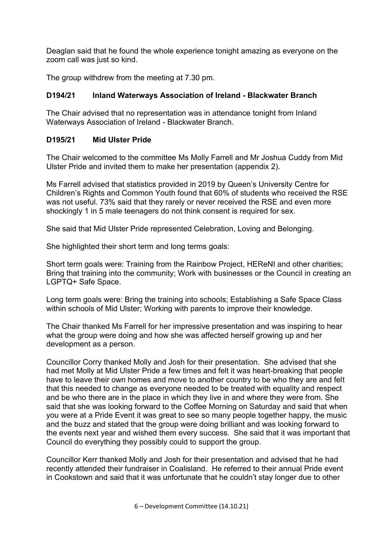Deaglan said that he found the whole experience tonight amazing as everyone on the zoom call was just so kind.

The group withdrew from the meeting at 7.30 pm.

# **D194/21 Inland Waterways Association of Ireland - Blackwater Branch**

The Chair advised that no representation was in attendance tonight from Inland Waterways Association of Ireland - Blackwater Branch.

# **D195/21 Mid Ulster Pride**

The Chair welcomed to the committee Ms Molly Farrell and Mr Joshua Cuddy from Mid Ulster Pride and invited them to make her presentation (appendix 2).

Ms Farrell advised that statistics provided in 2019 by Queen's University Centre for Children's Rights and Common Youth found that 60% of students who received the RSE was not useful. 73% said that they rarely or never received the RSE and even more shockingly 1 in 5 male teenagers do not think consent is required for sex.

She said that Mid Ulster Pride represented Celebration, Loving and Belonging.

She highlighted their short term and long terms goals:

Short term goals were: Training from the Rainbow Project, HEReNI and other charities; Bring that training into the community; Work with businesses or the Council in creating an LGPTQ+ Safe Space.

Long term goals were: Bring the training into schools; Establishing a Safe Space Class within schools of Mid Ulster; Working with parents to improve their knowledge.

The Chair thanked Ms Farrell for her impressive presentation and was inspiring to hear what the group were doing and how she was affected herself growing up and her development as a person.

Councillor Corry thanked Molly and Josh for their presentation. She advised that she had met Molly at Mid Ulster Pride a few times and felt it was heart-breaking that people have to leave their own homes and move to another country to be who they are and felt that this needed to change as everyone needed to be treated with equality and respect and be who there are in the place in which they live in and where they were from. She said that she was looking forward to the Coffee Morning on Saturday and said that when you were at a Pride Event it was great to see so many people together happy, the music and the buzz and stated that the group were doing brilliant and was looking forward to the events next year and wished them every success. She said that it was important that Council do everything they possibly could to support the group.

Councillor Kerr thanked Molly and Josh for their presentation and advised that he had recently attended their fundraiser in Coalisland. He referred to their annual Pride event in Cookstown and said that it was unfortunate that he couldn't stay longer due to other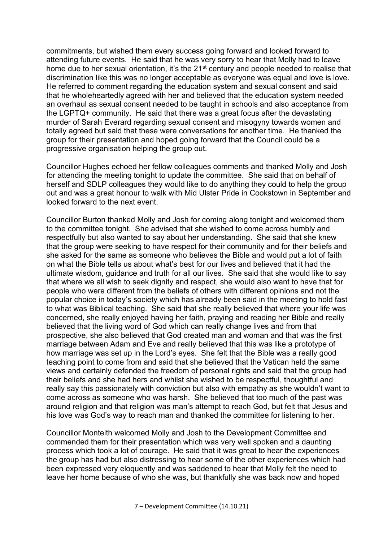commitments, but wished them every success going forward and looked forward to attending future events. He said that he was very sorry to hear that Molly had to leave home due to her sexual orientation, it's the 21<sup>st</sup> century and people needed to realise that discrimination like this was no longer acceptable as everyone was equal and love is love. He referred to comment regarding the education system and sexual consent and said that he wholeheartedly agreed with her and believed that the education system needed an overhaul as sexual consent needed to be taught in schools and also acceptance from the LGPTQ+ community. He said that there was a great focus after the devastating murder of Sarah Everard regarding sexual consent and misogyny towards women and totally agreed but said that these were conversations for another time. He thanked the group for their presentation and hoped going forward that the Council could be a progressive organisation helping the group out.

Councillor Hughes echoed her fellow colleagues comments and thanked Molly and Josh for attending the meeting tonight to update the committee. She said that on behalf of herself and SDLP colleagues they would like to do anything they could to help the group out and was a great honour to walk with Mid Ulster Pride in Cookstown in September and looked forward to the next event.

Councillor Burton thanked Molly and Josh for coming along tonight and welcomed them to the committee tonight. She advised that she wished to come across humbly and respectfully but also wanted to say about her understanding. She said that she knew that the group were seeking to have respect for their community and for their beliefs and she asked for the same as someone who believes the Bible and would put a lot of faith on what the Bible tells us about what's best for our lives and believed that it had the ultimate wisdom, guidance and truth for all our lives. She said that she would like to say that where we all wish to seek dignity and respect, she would also want to have that for people who were different from the beliefs of others with different opinions and not the popular choice in today's society which has already been said in the meeting to hold fast to what was Biblical teaching. She said that she really believed that where your life was concerned, she really enjoyed having her faith, praying and reading her Bible and really believed that the living word of God which can really change lives and from that prospective, she also believed that God created man and woman and that was the first marriage between Adam and Eve and really believed that this was like a prototype of how marriage was set up in the Lord's eyes. She felt that the Bible was a really good teaching point to come from and said that she believed that the Vatican held the same views and certainly defended the freedom of personal rights and said that the group had their beliefs and she had hers and whilst she wished to be respectful, thoughtful and really say this passionately with conviction but also with empathy as she wouldn't want to come across as someone who was harsh. She believed that too much of the past was around religion and that religion was man's attempt to reach God, but felt that Jesus and his love was God's way to reach man and thanked the committee for listening to her.

Councillor Monteith welcomed Molly and Josh to the Development Committee and commended them for their presentation which was very well spoken and a daunting process which took a lot of courage. He said that it was great to hear the experiences the group has had but also distressing to hear some of the other experiences which had been expressed very eloquently and was saddened to hear that Molly felt the need to leave her home because of who she was, but thankfully she was back now and hoped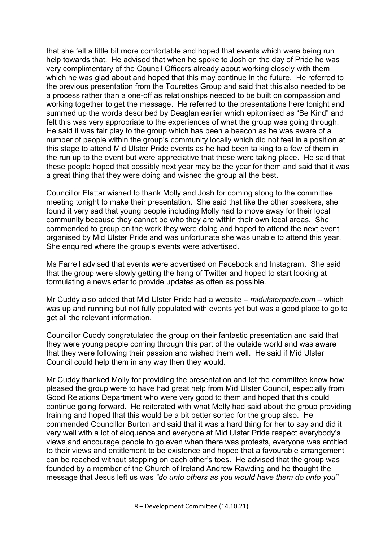that she felt a little bit more comfortable and hoped that events which were being run help towards that. He advised that when he spoke to Josh on the day of Pride he was very complimentary of the Council Officers already about working closely with them which he was glad about and hoped that this may continue in the future. He referred to the previous presentation from the Tourettes Group and said that this also needed to be a process rather than a one-off as relationships needed to be built on compassion and working together to get the message. He referred to the presentations here tonight and summed up the words described by Deaglan earlier which epitomised as "Be Kind" and felt this was very appropriate to the experiences of what the group was going through. He said it was fair play to the group which has been a beacon as he was aware of a number of people within the group's community locally which did not feel in a position at this stage to attend Mid Ulster Pride events as he had been talking to a few of them in the run up to the event but were appreciative that these were taking place. He said that these people hoped that possibly next year may be the year for them and said that it was a great thing that they were doing and wished the group all the best.

Councillor Elattar wished to thank Molly and Josh for coming along to the committee meeting tonight to make their presentation. She said that like the other speakers, she found it very sad that young people including Molly had to move away for their local community because they cannot be who they are within their own local areas. She commended to group on the work they were doing and hoped to attend the next event organised by Mid Ulster Pride and was unfortunate she was unable to attend this year. She enquired where the group's events were advertised.

Ms Farrell advised that events were advertised on Facebook and Instagram. She said that the group were slowly getting the hang of Twitter and hoped to start looking at formulating a newsletter to provide updates as often as possible.

Mr Cuddy also added that Mid Ulster Pride had a website – *midulsterpride.com* – which was up and running but not fully populated with events yet but was a good place to go to get all the relevant information.

Councillor Cuddy congratulated the group on their fantastic presentation and said that they were young people coming through this part of the outside world and was aware that they were following their passion and wished them well. He said if Mid Ulster Council could help them in any way then they would.

Mr Cuddy thanked Molly for providing the presentation and let the committee know how pleased the group were to have had great help from Mid Ulster Council, especially from Good Relations Department who were very good to them and hoped that this could continue going forward. He reiterated with what Molly had said about the group providing training and hoped that this would be a bit better sorted for the group also. He commended Councillor Burton and said that it was a hard thing for her to say and did it very well with a lot of eloquence and everyone at Mid Ulster Pride respect everybody's views and encourage people to go even when there was protests, everyone was entitled to their views and entitlement to be existence and hoped that a favourable arrangement can be reached without stepping on each other's toes. He advised that the group was founded by a member of the Church of Ireland Andrew Rawding and he thought the message that Jesus left us was *"do unto others as you would have them do unto you"*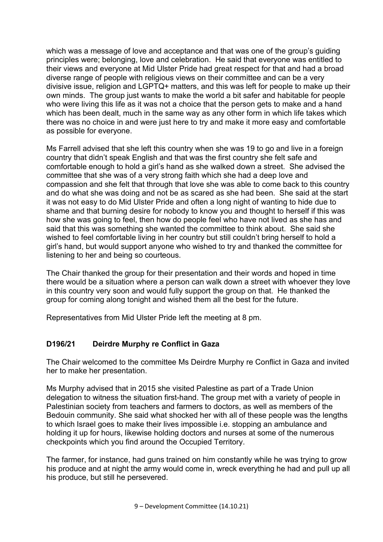which was a message of love and acceptance and that was one of the group's guiding principles were; belonging, love and celebration. He said that everyone was entitled to their views and everyone at Mid Ulster Pride had great respect for that and had a broad diverse range of people with religious views on their committee and can be a very divisive issue, religion and LGPTQ+ matters, and this was left for people to make up their own minds. The group just wants to make the world a bit safer and habitable for people who were living this life as it was not a choice that the person gets to make and a hand which has been dealt, much in the same way as any other form in which life takes which there was no choice in and were just here to try and make it more easy and comfortable as possible for everyone.

Ms Farrell advised that she left this country when she was 19 to go and live in a foreign country that didn't speak English and that was the first country she felt safe and comfortable enough to hold a girl's hand as she walked down a street. She advised the committee that she was of a very strong faith which she had a deep love and compassion and she felt that through that love she was able to come back to this country and do what she was doing and not be as scared as she had been. She said at the start it was not easy to do Mid Ulster Pride and often a long night of wanting to hide due to shame and that burning desire for nobody to know you and thought to herself if this was how she was going to feel, then how do people feel who have not lived as she has and said that this was something she wanted the committee to think about. She said she wished to feel comfortable living in her country but still couldn't bring herself to hold a girl's hand, but would support anyone who wished to try and thanked the committee for listening to her and being so courteous.

The Chair thanked the group for their presentation and their words and hoped in time there would be a situation where a person can walk down a street with whoever they love in this country very soon and would fully support the group on that. He thanked the group for coming along tonight and wished them all the best for the future.

Representatives from Mid Ulster Pride left the meeting at 8 pm.

# **D196/21 Deirdre Murphy re Conflict in Gaza**

The Chair welcomed to the committee Ms Deirdre Murphy re Conflict in Gaza and invited her to make her presentation.

Ms Murphy advised that in 2015 she visited Palestine as part of a Trade Union delegation to witness the situation first-hand. The group met with a variety of people in Palestinian society from teachers and farmers to doctors, as well as members of the Bedouin community. She said what shocked her with all of these people was the lengths to which Israel goes to make their lives impossible i.e. stopping an ambulance and holding it up for hours, likewise holding doctors and nurses at some of the numerous checkpoints which you find around the Occupied Territory.

The farmer, for instance, had guns trained on him constantly while he was trying to grow his produce and at night the army would come in, wreck everything he had and pull up all his produce, but still he persevered.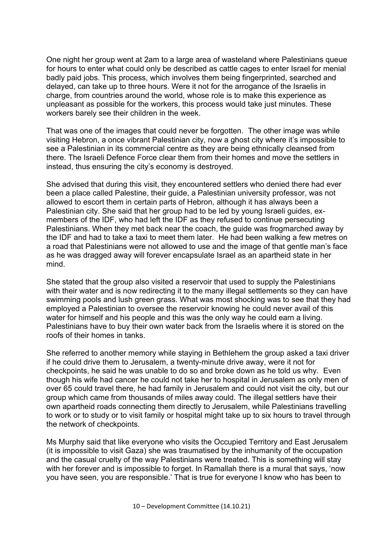One night her group went at 2am to a large area of wasteland where Palestinians queue for hours to enter what could only be described as cattle cages to enter Israel for menial badly paid jobs. This process, which involves them being fingerprinted, searched and delayed, can take up to three hours. Were it not for the arrogance of the Israelis in charge, from countries around the world, whose role is to make this experience as unpleasant as possible for the workers, this process would take just minutes. These workers barely see their children in the week.

That was one of the images that could never be forgotten. The other image was while visiting Hebron, a once vibrant Palestinian city, now a ghost city where it's impossible to see a Palestinian in its commercial centre as they are being ethnically cleansed from there. The Israeli Defence Force clear them from their homes and move the settlers in instead, thus ensuring the city's economy is destroyed.

She advised that during this visit, they encountered settlers who denied there had ever been a place called Palestine, their guide, a Palestinian university professor, was not allowed to escort them in certain parts of Hebron, although it has always been a Palestinian city. She said that her group had to be led by young Israeli guides, exmembers of the IDF, who had left the IDF as they refused to continue persecuting Palestinians. When they met back near the coach, the guide was frogmarched away by the IDF and had to take a taxi to meet them later. He had been walking a few metres on a road that Palestinians were not allowed to use and the image of that gentle man's face as he was dragged away will forever encapsulate Israel as an apartheid state in her mind.

She stated that the group also visited a reservoir that used to supply the Palestinians with their water and is now redirecting it to the many illegal settlements so they can have swimming pools and lush green grass. What was most shocking was to see that they had employed a Palestinian to oversee the reservoir knowing he could never avail of this water for himself and his people and this was the only way he could earn a living. Palestinians have to buy their own water back from the Israelis where it is stored on the roofs of their homes in tanks.

She referred to another memory while staying in Bethlehem the group asked a taxi driver if he could drive them to Jerusalem, a twenty-minute drive away, were it not for checkpoints, he said he was unable to do so and broke down as he told us why. Even though his wife had cancer he could not take her to hospital in Jerusalem as only men of over 65 could travel there, he had family in Jerusalem and could not visit the city, but our group which came from thousands of miles away could. The illegal settlers have their own apartheid roads connecting them directly to Jerusalem, while Palestinians travelling to work or to study or to visit family or hospital might take up to six hours to travel through the network of checkpoints.

Ms Murphy said that like everyone who visits the Occupied Territory and East Jerusalem (it is impossible to visit Gaza) she was traumatised by the inhumanity of the occupation and the casual cruelty of the way Palestinians were treated. This is something will stay with her forever and is impossible to forget. In Ramallah there is a mural that says, 'now you have seen, you are responsible.' That is true for everyone I know who has been to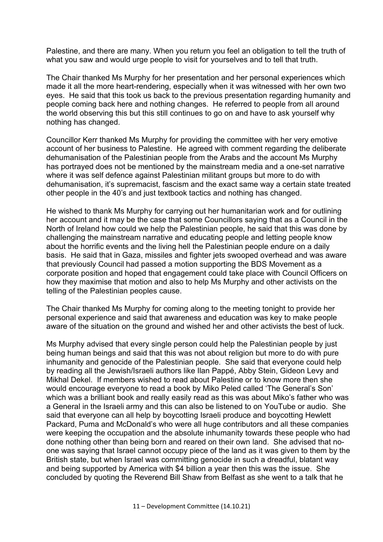Palestine, and there are many. When you return you feel an obligation to tell the truth of what you saw and would urge people to visit for yourselves and to tell that truth.

The Chair thanked Ms Murphy for her presentation and her personal experiences which made it all the more heart-rendering, especially when it was witnessed with her own two eyes. He said that this took us back to the previous presentation regarding humanity and people coming back here and nothing changes. He referred to people from all around the world observing this but this still continues to go on and have to ask yourself why nothing has changed.

Councillor Kerr thanked Ms Murphy for providing the committee with her very emotive account of her business to Palestine. He agreed with comment regarding the deliberate dehumanisation of the Palestinian people from the Arabs and the account Ms Murphy has portrayed does not be mentioned by the mainstream media and a one-set narrative where it was self defence against Palestinian militant groups but more to do with dehumanisation, it's supremacist, fascism and the exact same way a certain state treated other people in the 40's and just textbook tactics and nothing has changed.

He wished to thank Ms Murphy for carrying out her humanitarian work and for outlining her account and it may be the case that some Councillors saying that as a Council in the North of Ireland how could we help the Palestinian people, he said that this was done by challenging the mainstream narrative and educating people and letting people know about the horrific events and the living hell the Palestinian people endure on a daily basis. He said that in Gaza, missiles and fighter jets swooped overhead and was aware that previously Council had passed a motion supporting the BDS Movement as a corporate position and hoped that engagement could take place with Council Officers on how they maximise that motion and also to help Ms Murphy and other activists on the telling of the Palestinian peoples cause.

The Chair thanked Ms Murphy for coming along to the meeting tonight to provide her personal experience and said that awareness and education was key to make people aware of the situation on the ground and wished her and other activists the best of luck.

Ms Murphy advised that every single person could help the Palestinian people by just being human beings and said that this was not about religion but more to do with pure inhumanity and genocide of the Palestinian people. She said that everyone could help by reading all the Jewish/Israeli authors like Ilan Pappé, Abby Stein, Gideon Levy and Mikhal Dekel. If members wished to read about Palestine or to know more then she would encourage everyone to read a book by Miko Peled called 'The General's Son' which was a brilliant book and really easily read as this was about Miko's father who was a General in the Israeli army and this can also be listened to on YouTube or audio. She said that everyone can all help by boycotting Israeli produce and boycotting Hewlett Packard, Puma and McDonald's who were all huge contributors and all these companies were keeping the occupation and the absolute inhumanity towards these people who had done nothing other than being born and reared on their own land. She advised that noone was saying that Israel cannot occupy piece of the land as it was given to them by the British state, but when Israel was committing genocide in such a dreadful, blatant way and being supported by America with \$4 billion a year then this was the issue. She concluded by quoting the Reverend Bill Shaw from Belfast as she went to a talk that he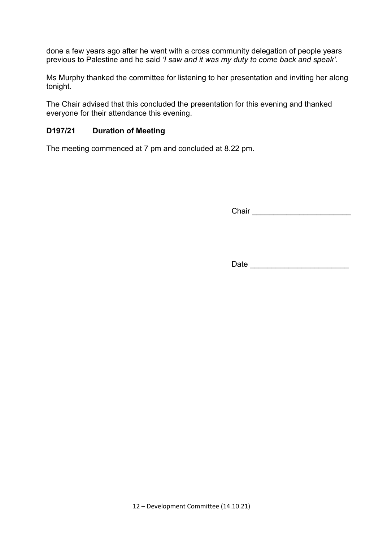done a few years ago after he went with a cross community delegation of people years previous to Palestine and he said *'I saw and it was my duty to come back and speak'.*

Ms Murphy thanked the committee for listening to her presentation and inviting her along tonight.

The Chair advised that this concluded the presentation for this evening and thanked everyone for their attendance this evening.

#### **D197/21 Duration of Meeting**

The meeting commenced at 7 pm and concluded at 8.22 pm.

Chair \_\_\_\_\_\_\_\_\_\_\_\_\_\_\_\_\_\_\_\_\_\_\_

Date \_\_\_\_\_\_\_\_\_\_\_\_\_\_\_\_\_\_\_\_\_\_\_